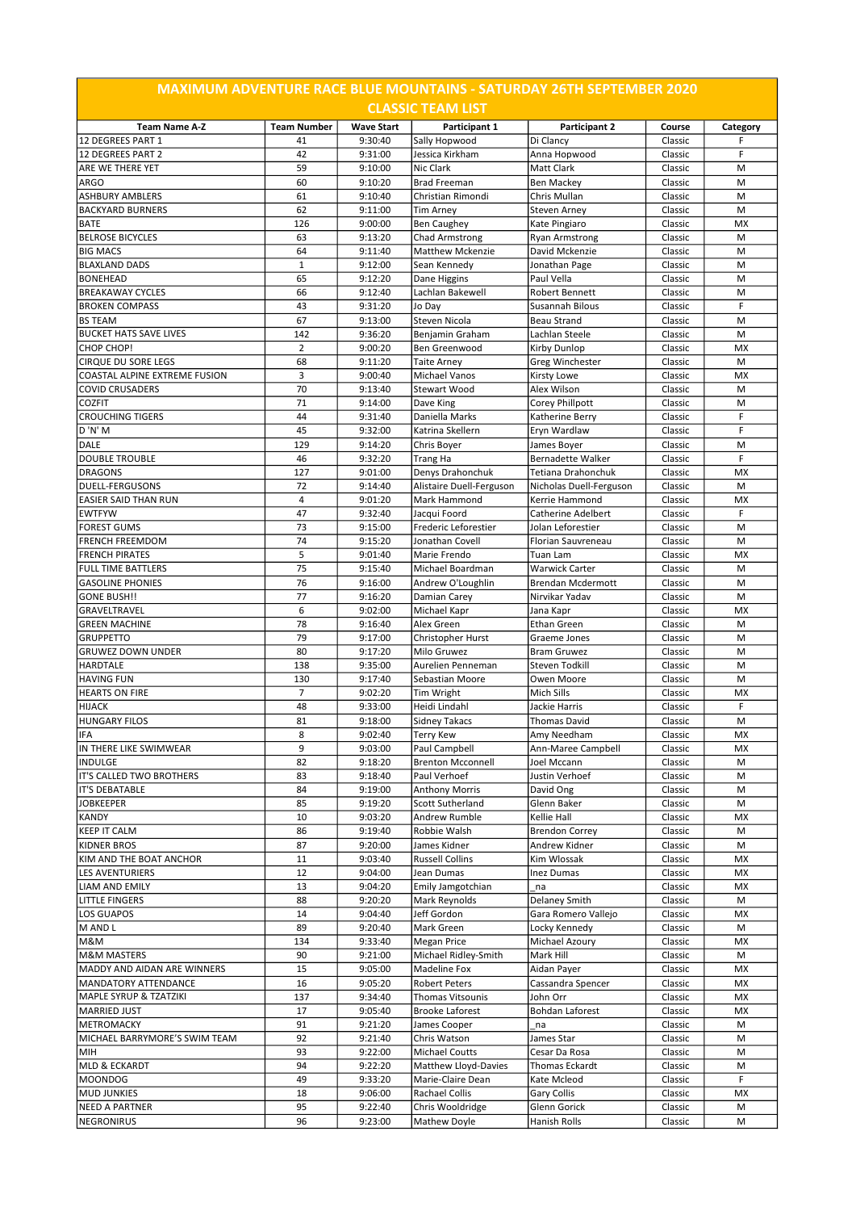| <b>MAXIMUM ADVENTURE RACE BLUE MOUNTAINS - SATURDAY 26TH SEPTEMBER 2020</b><br><b>CLASSIC TEAM LIST</b> |                      |                    |                                           |                                                |                    |           |  |  |  |  |
|---------------------------------------------------------------------------------------------------------|----------------------|--------------------|-------------------------------------------|------------------------------------------------|--------------------|-----------|--|--|--|--|
| <b>Team Name A-Z</b>                                                                                    | <b>Team Number</b>   | <b>Wave Start</b>  | Participant 1                             | Participant 2                                  | Course             | Category  |  |  |  |  |
| 12 DEGREES PART 1                                                                                       | 41                   | 9:30:40            | Sally Hopwood                             | Di Clancy                                      | Classic            | F         |  |  |  |  |
| <b>12 DEGREES PART 2</b>                                                                                | 42                   | 9:31:00            | Jessica Kirkham                           | Anna Hopwood                                   | Classic            | F         |  |  |  |  |
| ARE WE THERE YET                                                                                        | 59                   | 9:10:00            | Nic Clark                                 | <b>Matt Clark</b>                              | Classic            | M         |  |  |  |  |
| ARGO                                                                                                    | 60                   | 9:10:20            | <b>Brad Freeman</b>                       | <b>Ben Mackey</b>                              | Classic            | M         |  |  |  |  |
| <b>ASHBURY AMBLERS</b><br><b>BACKYARD BURNERS</b>                                                       | 61<br>62             | 9:10:40<br>9:11:00 | Christian Rimondi                         | Chris Mullan                                   | Classic<br>Classic | M<br>M    |  |  |  |  |
| <b>BATE</b>                                                                                             | 126                  | 9:00:00            | <b>Tim Arney</b><br><b>Ben Caughey</b>    | <b>Steven Arney</b><br>Kate Pingiaro           | Classic            | <b>MX</b> |  |  |  |  |
| <b>BELROSE BICYCLES</b>                                                                                 | 63                   | 9:13:20            | <b>Chad Armstrong</b>                     | <b>Ryan Armstrong</b>                          | Classic            | M         |  |  |  |  |
| <b>BIG MACS</b>                                                                                         | 64                   | 9:11:40            | Matthew Mckenzie                          | David Mckenzie                                 | Classic            | M         |  |  |  |  |
| <b>BLAXLAND DADS</b>                                                                                    | $\mathbf{1}$         | 9:12:00            | Sean Kennedy                              | Jonathan Page                                  | Classic            | M         |  |  |  |  |
| <b>BONEHEAD</b>                                                                                         | 65                   | 9:12:20            | Dane Higgins                              | Paul Vella                                     | Classic            | M         |  |  |  |  |
| <b>BREAKAWAY CYCLES</b>                                                                                 | 66                   | 9:12:40            | Lachlan Bakewell                          | <b>Robert Bennett</b>                          | Classic            | M         |  |  |  |  |
| <b>BROKEN COMPASS</b>                                                                                   | 43                   | 9:31:20            | Jo Day                                    | Susannah Bilous                                | Classic            | F         |  |  |  |  |
| <b>BS TEAM</b>                                                                                          | 67                   | 9:13:00            | <b>Steven Nicola</b>                      | <b>Beau Strand</b>                             | Classic            | M         |  |  |  |  |
| <b>BUCKET HATS SAVE LIVES</b>                                                                           | 142                  | 9:36:20            | Benjamin Graham                           | Lachlan Steele                                 | Classic            | M         |  |  |  |  |
| CHOP CHOP!<br><b>CIRQUE DU SORE LEGS</b>                                                                | $\overline{2}$<br>68 | 9:00:20<br>9:11:20 | Ben Greenwood<br><b>Taite Arney</b>       | <b>Kirby Dunlop</b><br>Greg Winchester         | Classic<br>Classic | MX<br>M   |  |  |  |  |
| COASTAL ALPINE EXTREME FUSION                                                                           | 3                    | 9:00:40            | Michael Vanos                             | Kirsty Lowe                                    | Classic            | MX        |  |  |  |  |
| <b>COVID CRUSADERS</b>                                                                                  | 70                   | 9:13:40            | <b>Stewart Wood</b>                       | Alex Wilson                                    | Classic            | M         |  |  |  |  |
| <b>COZFIT</b>                                                                                           | 71                   | 9:14:00            | Dave King                                 | Corey Phillpott                                | Classic            | M         |  |  |  |  |
| <b>CROUCHING TIGERS</b>                                                                                 | 44                   | 9:31:40            | Daniella Marks                            | Katherine Berry                                | Classic            | F         |  |  |  |  |
| D'N'M                                                                                                   | 45                   | 9:32:00            | Katrina Skellern                          | Eryn Wardlaw                                   | Classic            | F         |  |  |  |  |
| <b>DALE</b>                                                                                             | 129                  | 9:14:20            | Chris Boyer                               | James Boyer                                    | Classic            | M         |  |  |  |  |
| <b>DOUBLE TROUBLE</b>                                                                                   | 46                   | 9:32:20            | Trang Ha                                  | <b>Bernadette Walker</b>                       | Classic            | F         |  |  |  |  |
| <b>DRAGONS</b>                                                                                          | 127                  | 9:01:00            | Denys Drahonchuk                          | Tetiana Drahonchuk                             | Classic            | <b>MX</b> |  |  |  |  |
| DUELL-FERGUSONS                                                                                         | 72                   | 9:14:40            | Alistaire Duell-Ferguson                  | Nicholas Duell-Ferguson                        | Classic            | M         |  |  |  |  |
| <b>EASIER SAID THAN RUN</b>                                                                             | $\overline{4}$       | 9:01:20            | Mark Hammond                              | Kerrie Hammond                                 | Classic            | <b>MX</b> |  |  |  |  |
| <b>EWTFYW</b>                                                                                           | 47                   | 9:32:40            | Jacqui Foord                              | <b>Catherine Adelbert</b>                      | Classic            | F         |  |  |  |  |
| <b>FOREST GUMS</b><br><b>FRENCH FREEMDOM</b>                                                            | 73<br>74             | 9:15:00            | <b>Frederic Leforestier</b>               | Jolan Leforestier<br><b>Florian Sauvreneau</b> | Classic<br>Classic | M<br>M    |  |  |  |  |
| <b>FRENCH PIRATES</b>                                                                                   | 5                    | 9:15:20<br>9:01:40 | Jonathan Covell<br>Marie Frendo           | Tuan Lam                                       | Classic            | MX        |  |  |  |  |
| <b>FULL TIME BATTLERS</b>                                                                               | 75                   | 9:15:40            | Michael Boardman                          | <b>Warwick Carter</b>                          | Classic            | M         |  |  |  |  |
| <b>GASOLINE PHONIES</b>                                                                                 | 76                   | 9:16:00            | Andrew O'Loughlin                         | <b>Brendan Mcdermott</b>                       | Classic            | M         |  |  |  |  |
| <b>GONE BUSH!!</b>                                                                                      | 77                   | 9:16:20            | Damian Carey                              | Nirvikar Yadav                                 | Classic            | M         |  |  |  |  |
| GRAVELTRAVEL                                                                                            | 6                    | 9:02:00            | Michael Kapr                              | Jana Kapr                                      | Classic            | <b>MX</b> |  |  |  |  |
| <b>GREEN MACHINE</b>                                                                                    | 78                   | 9:16:40            | Alex Green                                | <b>Ethan Green</b>                             | Classic            | M         |  |  |  |  |
| <b>GRUPPETTO</b>                                                                                        | 79                   | 9:17:00            | Christopher Hurst                         | Graeme Jones                                   | Classic            | M         |  |  |  |  |
| <b>GRUWEZ DOWN UNDER</b>                                                                                | 80                   | 9:17:20            | Milo Gruwez                               | <b>Bram Gruwez</b>                             | Classic            | M         |  |  |  |  |
| <b>HARDTALE</b>                                                                                         | 138                  | 9:35:00            | Aurelien Penneman                         | <b>Steven Todkill</b>                          | Classic            | M         |  |  |  |  |
| <b>HAVING FUN</b>                                                                                       | 130                  | 9:17:40            | Sebastian Moore                           | Owen Moore                                     | Classic            | M         |  |  |  |  |
| <b>HEARTS ON FIRE</b>                                                                                   | 7<br>48              | 9:02:20            | Tim Wright                                | <b>Mich Sills</b>                              | Classic            | MX<br>F   |  |  |  |  |
| HIJACK<br><b>HUNGARY FILOS</b>                                                                          | 81                   | 9:33:00<br>9:18:00 | Heidi Lindahl<br><b>Sidney Takacs</b>     | Jackie Harris<br><b>Thomas David</b>           | Classic<br>Classic | M         |  |  |  |  |
| <b>IFA</b>                                                                                              | 8                    | 9:02:40            | <b>Terry Kew</b>                          | Amy Needham                                    | Classic            | МX        |  |  |  |  |
| IN THERE LIKE SWIMWEAR                                                                                  | 9                    | 9:03:00            | Paul Campbell                             | Ann-Maree Campbell                             | Classic            | МX        |  |  |  |  |
| <b>INDULGE</b>                                                                                          | 82                   | 9:18:20            | <b>Brenton Mcconnell</b>                  | Joel Mccann                                    | Classic            | M         |  |  |  |  |
| IT'S CALLED TWO BROTHERS                                                                                | 83                   | 9:18:40            | Paul Verhoef                              | Justin Verhoef                                 | Classic            | M         |  |  |  |  |
| <b>IT'S DEBATABLE</b>                                                                                   | 84                   | 9:19:00            | <b>Anthony Morris</b>                     | David Ong                                      | Classic            | М         |  |  |  |  |
| <b>JOBKEEPER</b>                                                                                        | 85                   | 9:19:20            | Scott Sutherland                          | Glenn Baker                                    | Classic            | M         |  |  |  |  |
| <b>KANDY</b>                                                                                            | 10                   | 9:03:20            | Andrew Rumble                             | <b>Kellie Hall</b>                             | Classic            | MX        |  |  |  |  |
| <b>KEEP IT CALM</b>                                                                                     | 86                   | 9:19:40            | Robbie Walsh                              | <b>Brendon Correy</b>                          | Classic            | M         |  |  |  |  |
| <b>KIDNER BROS</b>                                                                                      | 87                   | 9:20:00            | James Kidner                              | Andrew Kidner                                  | Classic            | M         |  |  |  |  |
| KIM AND THE BOAT ANCHOR                                                                                 | 11                   | 9:03:40            | <b>Russell Collins</b>                    | Kim Wlossak                                    | Classic            | MX        |  |  |  |  |
| LES AVENTURIERS                                                                                         | 12                   | 9:04:00            | Jean Dumas                                | <b>Inez Dumas</b>                              | Classic            | MX<br>MX  |  |  |  |  |
| LIAM AND EMILY<br><b>LITTLE FINGERS</b>                                                                 | 13<br>88             | 9:04:20<br>9:20:20 | Emily Jamgotchian<br>Mark Reynolds        | na<br>Delaney Smith                            | Classic<br>Classic | М         |  |  |  |  |
| LOS GUAPOS                                                                                              | 14                   | 9:04:40            | Jeff Gordon                               | Gara Romero Vallejo                            | Classic            | МX        |  |  |  |  |
| M AND L                                                                                                 | 89                   | 9:20:40            | Mark Green                                | Locky Kennedy                                  | Classic            | M         |  |  |  |  |
| M&M                                                                                                     | 134                  | 9:33:40            | <b>Megan Price</b>                        | Michael Azoury                                 | Classic            | MX        |  |  |  |  |
| <b>M&amp;M MASTERS</b>                                                                                  | 90                   | 9:21:00            | Michael Ridley-Smith                      | Mark Hill                                      | Classic            | M         |  |  |  |  |
| MADDY AND AIDAN ARE WINNERS                                                                             | 15                   | 9:05:00            | Madeline Fox                              | Aidan Payer                                    | Classic            | MX        |  |  |  |  |
| MANDATORY ATTENDANCE                                                                                    | 16                   | 9:05:20            | <b>Robert Peters</b>                      | Cassandra Spencer                              | Classic            | МX        |  |  |  |  |
| MAPLE SYRUP & TZATZIKI                                                                                  | 137                  | 9:34:40            | Thomas Vitsounis                          | John Orr                                       | Classic            | MX        |  |  |  |  |
| <b>MARRIED JUST</b>                                                                                     | 17                   | 9:05:40            | <b>Brooke Laforest</b>                    | Bohdan Laforest                                | Classic            | MX        |  |  |  |  |
| METROMACKY                                                                                              | 91                   | 9:21:20            | James Cooper                              | na                                             | Classic            | M         |  |  |  |  |
| MICHAEL BARRYMORE'S SWIM TEAM                                                                           | 92                   | 9:21:40            | Chris Watson                              | James Star                                     | Classic            | M         |  |  |  |  |
| MIH                                                                                                     | 93<br>94             | 9:22:00            | Michael Coutts                            | Cesar Da Rosa                                  | Classic            | M         |  |  |  |  |
| <b>MLD &amp; ECKARDT</b><br><b>MOONDOG</b>                                                              | 49                   | 9:22:20<br>9:33:20 | Matthew Lloyd-Davies<br>Marie-Claire Dean | Thomas Eckardt<br>Kate Mcleod                  | Classic<br>Classic | М<br>F    |  |  |  |  |
| <b>MUD JUNKIES</b>                                                                                      | 18                   | 9:06:00            | <b>Rachael Collis</b>                     | Gary Collis                                    | Classic            | MX        |  |  |  |  |
| NEED A PARTNER                                                                                          | 95                   | 9:22:40            | Chris Wooldridge                          | Glenn Gorick                                   | Classic            | M         |  |  |  |  |
| NEGRONIRUS                                                                                              | 96                   | 9:23:00            | Mathew Doyle                              | Hanish Rolls                                   | Classic            | M         |  |  |  |  |